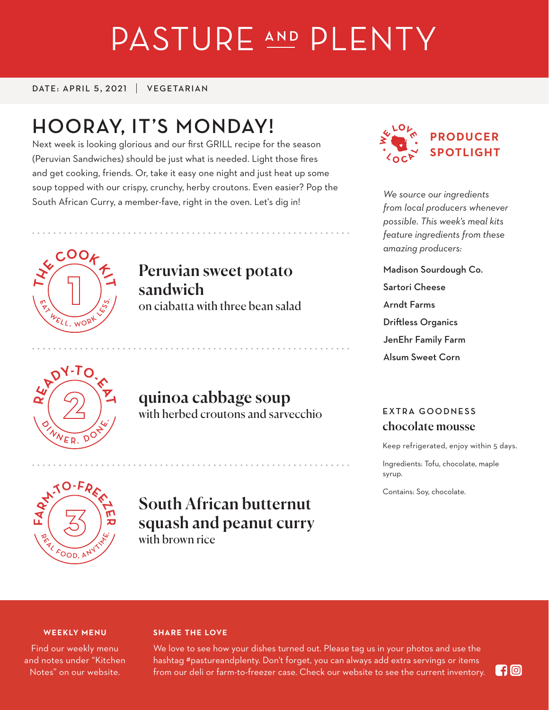# PASTURE AND PLENTY

DATE: APRIL 5, 2021 | VEGETARIAN

# **HOORAY, IT'S MONDAY!**

Next week is looking glorious and our first GRILL recipe for the season (Peruvian Sandwiches) should be just what is needed. Light those fires and get cooking, friends. Or, take it easy one night and just heat up some soup topped with our crispy, crunchy, herby croutons. Even easier? Pop the South African Curry, a member-fave, right in the oven. Let's dig in!



*We source our ingredients from local producers whenever possible. This week's meal kits feature ingredients from these amazing producers:*

Madison Sourdough Co. Sartori Cheese Arndt Farms Driftless Organics JenEhr Family Farm Alsum Sweet Corn



 $E_L$  , work

**<sup>E</sup>A<sup>T</sup> <sup>W</sup><sup>E</sup> <sup>L</sup> <sup>L</sup> , <sup>W</sup><sup>O</sup> <sup>R</sup> <sup>K</sup> <sup>L</sup> <sup>E</sup> <sup>S</sup> <sup>S</sup> .**

 $\frac{1}{2}$   $\left(\begin{array}{c} \frac{1}{2} \end{array}\right)$   $\frac{1}{2}$   $\frac{1}{2}$   $\frac{1}{2}$   $\frac{1}{2}$ 

**<sup>H</sup><sup>E</sup> <sup>C</sup>OO<sup>K</sup> <sup>K</sup><sup>I</sup>**

**<sup>H</sup><sup>E</sup> <sup>C</sup>OO<sup>K</sup> <sup>K</sup><sup>I</sup>**

 $\frac{1}{2}$   $\frac{1}{2}$   $\frac{1}{2}$   $\frac{1}{2}$ 

**T**

**T**

**T**

**T**

**T**

**T**

# Peruvian sweet potato sandwich

on ciabatta with three bean salad

## quinoa cabbage soup with herbed croutons and sarvecchio

**EXTRA GOODNESS** chocolate mousse

Keep refrigerated, enjoy within 5 days.

Ingredients: Tofu, chocolate, maple syrup.

Contains: Soy, chocolate.



### South African butternut squash and peanut curry with brown rice

#### **WEEKLY MENU**

Find our weekly menu and notes under "Kitchen Notes" on our website.

#### **SHARE THE LOVE**

We love to see how your dishes turned out. Please tag us in your photos and use the hashtag #pastureandplenty. Don't forget, you can always add extra servings or items from our deli or farm-to-freezer case. Check our website to see the current inventory.